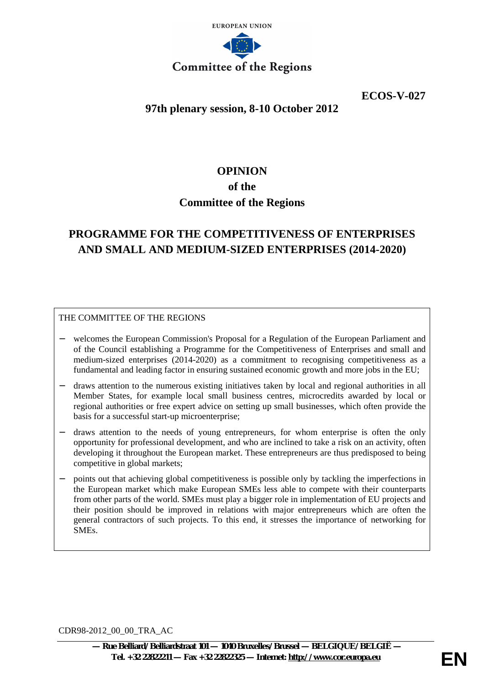

**ECOS-V-027**

# **97th plenary session, 8-10 October 2012**

# **OPINION**

### **of the**

# **Committee of the Regions**

# **PROGRAMME FOR THE COMPETITIVENESS OF ENTERPRISES AND SMALL AND MEDIUM-SIZED ENTERPRISES (2014-2020)**

### THE COMMITTEE OF THE REGIONS

- − welcomes the European Commission's Proposal for a Regulation of the European Parliament and of the Council establishing a Programme for the Competitiveness of Enterprises and small and medium-sized enterprises (2014-2020) as a commitment to recognising competitiveness as a fundamental and leading factor in ensuring sustained economic growth and more jobs in the EU;
- − draws attention to the numerous existing initiatives taken by local and regional authorities in all Member States, for example local small business centres, microcredits awarded by local or regional authorities or free expert advice on setting up small businesses, which often provide the basis for a successful start-up microenterprise;
- draws attention to the needs of young entrepreneurs, for whom enterprise is often the only opportunity for professional development, and who are inclined to take a risk on an activity, often developing it throughout the European market. These entrepreneurs are thus predisposed to being competitive in global markets;
- points out that achieving global competitiveness is possible only by tackling the imperfections in the European market which make European SMEs less able to compete with their counterparts from other parts of the world. SMEs must play a bigger role in implementation of EU projects and their position should be improved in relations with major entrepreneurs which are often the general contractors of such projects. To this end, it stresses the importance of networking for SMEs.

CDR98-2012\_00\_00\_TRA\_AC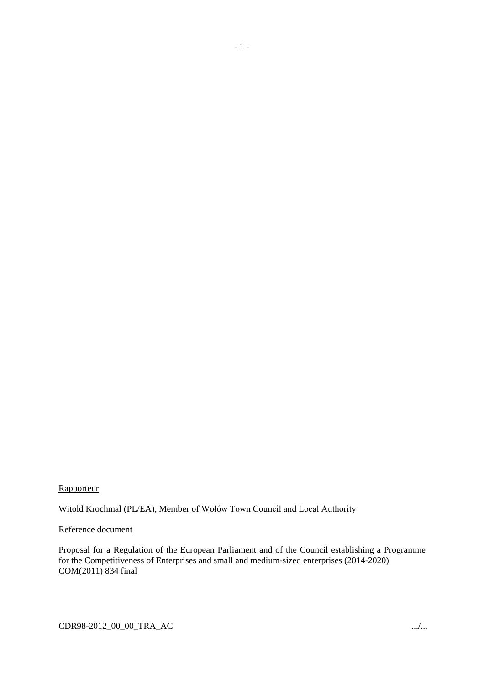### Rapporteur

Witold Krochmal (PL/EA), Member of Wołów Town Council and Local Authority

### Reference document

Proposal for a Regulation of the European Parliament and of the Council establishing a Programme for the Competitiveness of Enterprises and small and medium-sized enterprises (2014-2020) COM(2011) 834 final

- 1 -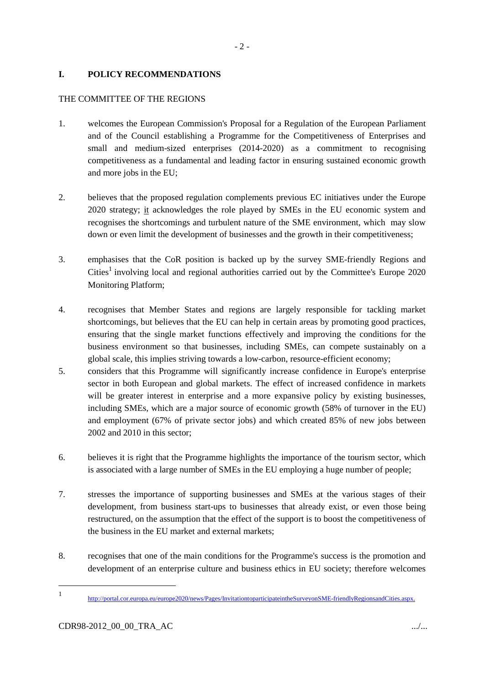### **I. POLICY RECOMMENDATIONS**

### THE COMMITTEE OF THE REGIONS

- 1. welcomes the European Commission's Proposal for a Regulation of the European Parliament and of the Council establishing a Programme for the Competitiveness of Enterprises and small and medium-sized enterprises (2014-2020) as a commitment to recognising competitiveness as a fundamental and leading factor in ensuring sustained economic growth and more jobs in the EU;
- 2. believes that the proposed regulation complements previous EC initiatives under the Europe 2020 strategy; it acknowledges the role played by SMEs in the EU economic system and recognises the shortcomings and turbulent nature of the SME environment, which may slow down or even limit the development of businesses and the growth in their competitiveness;
- 3. emphasises that the CoR position is backed up by the survey SME-friendly Regions and Cities<sup>1</sup> involving local and regional authorities carried out by the Committee's Europe 2020 Monitoring Platform;
- 4. recognises that Member States and regions are largely responsible for tackling market shortcomings, but believes that the EU can help in certain areas by promoting good practices, ensuring that the single market functions effectively and improving the conditions for the business environment so that businesses, including SMEs, can compete sustainably on a global scale, this implies striving towards a low-carbon, resource-efficient economy;
- 5. considers that this Programme will significantly increase confidence in Europe's enterprise sector in both European and global markets. The effect of increased confidence in markets will be greater interest in enterprise and a more expansive policy by existing businesses, including SMEs, which are a major source of economic growth (58% of turnover in the EU) and employment (67% of private sector jobs) and which created 85% of new jobs between 2002 and 2010 in this sector;
- 6. believes it is right that the Programme highlights the importance of the tourism sector, which is associated with a large number of SMEs in the EU employing a huge number of people;
- 7. stresses the importance of supporting businesses and SMEs at the various stages of their development, from business start-ups to businesses that already exist, or even those being restructured, on the assumption that the effect of the support is to boost the competitiveness of the business in the EU market and external markets;
- 8. recognises that one of the main conditions for the Programme's success is the promotion and development of an enterprise culture and business ethics in EU society; therefore welcomes

<sup>1</sup> http://portal.cor.europa.eu/europe2020/news/Pages/InvitationtoparticipateintheSurveyonSME-friendlyRegionsandCities.aspx.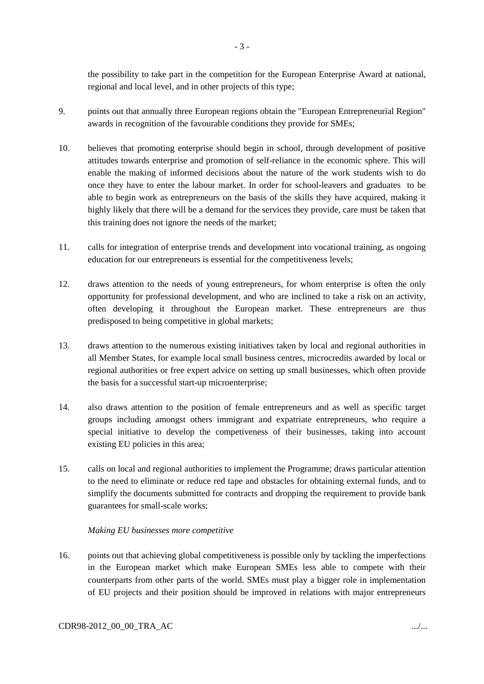the possibility to take part in the competition for the European Enterprise Award at national, regional and local level, and in other projects of this type;

- 9. points out that annually three European regions obtain the "European Entrepreneurial Region" awards in recognition of the favourable conditions they provide for SMEs;
- 10. believes that promoting enterprise should begin in school, through development of positive attitudes towards enterprise and promotion of self-reliance in the economic sphere. This will enable the making of informed decisions about the nature of the work students wish to do once they have to enter the labour market. In order for school-leavers and graduates to be able to begin work as entrepreneurs on the basis of the skills they have acquired, making it highly likely that there will be a demand for the services they provide, care must be taken that this training does not ignore the needs of the market;
- 11. calls for integration of enterprise trends and development into vocational training, as ongoing education for our entrepreneurs is essential for the competitiveness levels;
- 12. draws attention to the needs of young entrepreneurs, for whom enterprise is often the only opportunity for professional development, and who are inclined to take a risk on an activity, often developing it throughout the European market. These entrepreneurs are thus predisposed to being competitive in global markets;
- 13. draws attention to the numerous existing initiatives taken by local and regional authorities in all Member States, for example local small business centres, microcredits awarded by local or regional authorities or free expert advice on setting up small businesses, which often provide the basis for a successful start-up microenterprise;
- 14. also draws attention to the position of female entrepreneurs and as well as specific target groups including amongst others immigrant and expatriate entrepreneurs, who require a special initiative to develop the competiveness of their businesses, taking into account existing EU policies in this area;
- 15. calls on local and regional authorities to implement the Programme; draws particular attention to the need to eliminate or reduce red tape and obstacles for obtaining external funds, and to simplify the documents submitted for contracts and dropping the requirement to provide bank guarantees for small-scale works;

### *Making EU businesses more competitive*

16. points out that achieving global competitiveness is possible only by tackling the imperfections in the European market which make European SMEs less able to compete with their counterparts from other parts of the world. SMEs must play a bigger role in implementation of EU projects and their position should be improved in relations with major entrepreneurs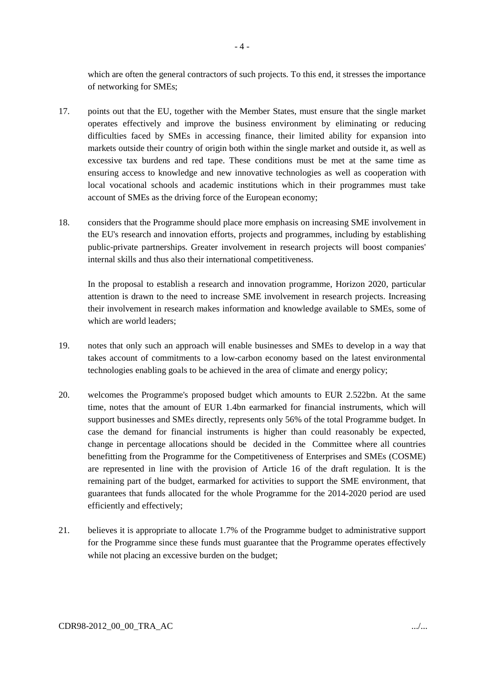which are often the general contractors of such projects. To this end, it stresses the importance of networking for SMEs;

- 17. points out that the EU, together with the Member States, must ensure that the single market operates effectively and improve the business environment by eliminating or reducing difficulties faced by SMEs in accessing finance, their limited ability for expansion into markets outside their country of origin both within the single market and outside it, as well as excessive tax burdens and red tape. These conditions must be met at the same time as ensuring access to knowledge and new innovative technologies as well as cooperation with local vocational schools and academic institutions which in their programmes must take account of SMEs as the driving force of the European economy;
- 18. considers that the Programme should place more emphasis on increasing SME involvement in the EU's research and innovation efforts, projects and programmes, including by establishing public-private partnerships. Greater involvement in research projects will boost companies' internal skills and thus also their international competitiveness.

In the proposal to establish a research and innovation programme, Horizon 2020, particular attention is drawn to the need to increase SME involvement in research projects. Increasing their involvement in research makes information and knowledge available to SMEs, some of which are world leaders;

- 19. notes that only such an approach will enable businesses and SMEs to develop in a way that takes account of commitments to a low-carbon economy based on the latest environmental technologies enabling goals to be achieved in the area of climate and energy policy;
- 20. welcomes the Programme's proposed budget which amounts to EUR 2.522bn. At the same time, notes that the amount of EUR 1.4bn earmarked for financial instruments, which will support businesses and SMEs directly, represents only 56% of the total Programme budget. In case the demand for financial instruments is higher than could reasonably be expected, change in percentage allocations should be decided in the Committee where all countries benefitting from the Programme for the Competitiveness of Enterprises and SMEs (COSME) are represented in line with the provision of Article 16 of the draft regulation. It is the remaining part of the budget, earmarked for activities to support the SME environment, that guarantees that funds allocated for the whole Programme for the 2014-2020 period are used efficiently and effectively;
- 21. believes it is appropriate to allocate 1.7% of the Programme budget to administrative support for the Programme since these funds must guarantee that the Programme operates effectively while not placing an excessive burden on the budget;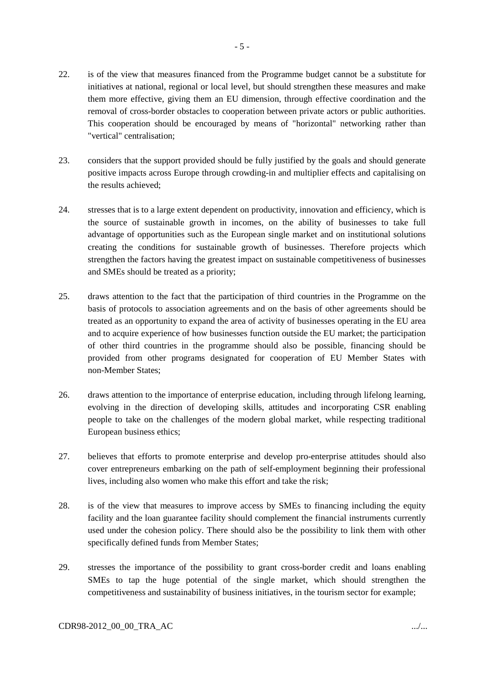- 22. is of the view that measures financed from the Programme budget cannot be a substitute for initiatives at national, regional or local level, but should strengthen these measures and make them more effective, giving them an EU dimension, through effective coordination and the removal of cross-border obstacles to cooperation between private actors or public authorities. This cooperation should be encouraged by means of "horizontal" networking rather than "vertical" centralisation;
- 23. considers that the support provided should be fully justified by the goals and should generate positive impacts across Europe through crowding-in and multiplier effects and capitalising on the results achieved;
- 24. stresses that is to a large extent dependent on productivity, innovation and efficiency, which is the source of sustainable growth in incomes, on the ability of businesses to take full advantage of opportunities such as the European single market and on institutional solutions creating the conditions for sustainable growth of businesses. Therefore projects which strengthen the factors having the greatest impact on sustainable competitiveness of businesses and SMEs should be treated as a priority;
- 25. draws attention to the fact that the participation of third countries in the Programme on the basis of protocols to association agreements and on the basis of other agreements should be treated as an opportunity to expand the area of activity of businesses operating in the EU area and to acquire experience of how businesses function outside the EU market; the participation of other third countries in the programme should also be possible, financing should be provided from other programs designated for cooperation of EU Member States with non-Member States;
- 26. draws attention to the importance of enterprise education, including through lifelong learning, evolving in the direction of developing skills, attitudes and incorporating CSR enabling people to take on the challenges of the modern global market, while respecting traditional European business ethics;
- 27. believes that efforts to promote enterprise and develop pro-enterprise attitudes should also cover entrepreneurs embarking on the path of self-employment beginning their professional lives, including also women who make this effort and take the risk;
- 28. is of the view that measures to improve access by SMEs to financing including the equity facility and the loan guarantee facility should complement the financial instruments currently used under the cohesion policy. There should also be the possibility to link them with other specifically defined funds from Member States;
- 29. stresses the importance of the possibility to grant cross-border credit and loans enabling SMEs to tap the huge potential of the single market, which should strengthen the competitiveness and sustainability of business initiatives, in the tourism sector for example;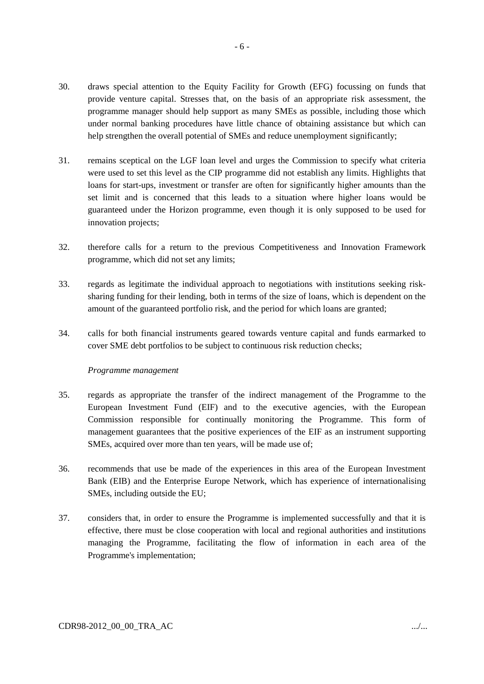30. draws special attention to the Equity Facility for Growth (EFG) focussing on funds that provide venture capital. Stresses that, on the basis of an appropriate risk assessment, the programme manager should help support as many SMEs as possible, including those which under normal banking procedures have little chance of obtaining assistance but which can help strengthen the overall potential of SMEs and reduce unemployment significantly;

- 6 -

- 31. remains sceptical on the LGF loan level and urges the Commission to specify what criteria were used to set this level as the CIP programme did not establish any limits. Highlights that loans for start-ups, investment or transfer are often for significantly higher amounts than the set limit and is concerned that this leads to a situation where higher loans would be guaranteed under the Horizon programme, even though it is only supposed to be used for innovation projects;
- 32. therefore calls for a return to the previous Competitiveness and Innovation Framework programme, which did not set any limits;
- 33. regards as legitimate the individual approach to negotiations with institutions seeking risksharing funding for their lending, both in terms of the size of loans, which is dependent on the amount of the guaranteed portfolio risk, and the period for which loans are granted;
- 34. calls for both financial instruments geared towards venture capital and funds earmarked to cover SME debt portfolios to be subject to continuous risk reduction checks;

### *Programme management*

- 35. regards as appropriate the transfer of the indirect management of the Programme to the European Investment Fund (EIF) and to the executive agencies, with the European Commission responsible for continually monitoring the Programme. This form of management guarantees that the positive experiences of the EIF as an instrument supporting SMEs, acquired over more than ten years, will be made use of;
- 36. recommends that use be made of the experiences in this area of the European Investment Bank (EIB) and the Enterprise Europe Network, which has experience of internationalising SMEs, including outside the EU;
- 37. considers that, in order to ensure the Programme is implemented successfully and that it is effective, there must be close cooperation with local and regional authorities and institutions managing the Programme, facilitating the flow of information in each area of the Programme's implementation;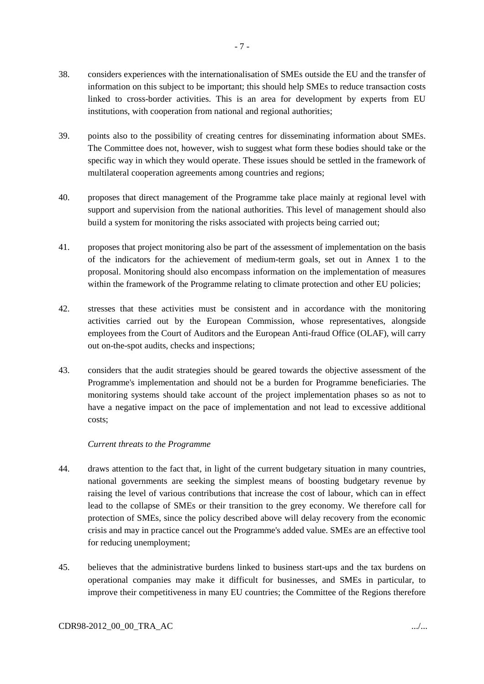- 38. considers experiences with the internationalisation of SMEs outside the EU and the transfer of information on this subject to be important; this should help SMEs to reduce transaction costs linked to cross-border activities. This is an area for development by experts from EU institutions, with cooperation from national and regional authorities;
- 39. points also to the possibility of creating centres for disseminating information about SMEs. The Committee does not, however, wish to suggest what form these bodies should take or the specific way in which they would operate. These issues should be settled in the framework of multilateral cooperation agreements among countries and regions;
- 40. proposes that direct management of the Programme take place mainly at regional level with support and supervision from the national authorities. This level of management should also build a system for monitoring the risks associated with projects being carried out;
- 41. proposes that project monitoring also be part of the assessment of implementation on the basis of the indicators for the achievement of medium-term goals, set out in Annex 1 to the proposal. Monitoring should also encompass information on the implementation of measures within the framework of the Programme relating to climate protection and other EU policies;
- 42. stresses that these activities must be consistent and in accordance with the monitoring activities carried out by the European Commission, whose representatives, alongside employees from the Court of Auditors and the European Anti-fraud Office (OLAF), will carry out on-the-spot audits, checks and inspections;
- 43. considers that the audit strategies should be geared towards the objective assessment of the Programme's implementation and should not be a burden for Programme beneficiaries. The monitoring systems should take account of the project implementation phases so as not to have a negative impact on the pace of implementation and not lead to excessive additional costs;

### *Current threats to the Programme*

- 44. draws attention to the fact that, in light of the current budgetary situation in many countries, national governments are seeking the simplest means of boosting budgetary revenue by raising the level of various contributions that increase the cost of labour, which can in effect lead to the collapse of SMEs or their transition to the grey economy. We therefore call for protection of SMEs, since the policy described above will delay recovery from the economic crisis and may in practice cancel out the Programme's added value. SMEs are an effective tool for reducing unemployment;
- 45. believes that the administrative burdens linked to business start-ups and the tax burdens on operational companies may make it difficult for businesses, and SMEs in particular, to improve their competitiveness in many EU countries; the Committee of the Regions therefore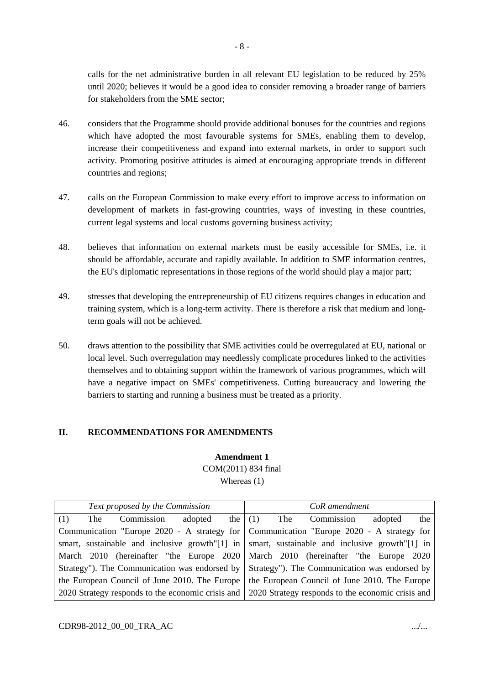calls for the net administrative burden in all relevant EU legislation to be reduced by 25% until 2020; believes it would be a good idea to consider removing a broader range of barriers for stakeholders from the SME sector;

- 46. considers that the Programme should provide additional bonuses for the countries and regions which have adopted the most favourable systems for SMEs, enabling them to develop, increase their competitiveness and expand into external markets, in order to support such activity. Promoting positive attitudes is aimed at encouraging appropriate trends in different countries and regions;
- 47. calls on the European Commission to make every effort to improve access to information on development of markets in fast-growing countries, ways of investing in these countries, current legal systems and local customs governing business activity;
- 48. believes that information on external markets must be easily accessible for SMEs, i.e. it should be affordable, accurate and rapidly available. In addition to SME information centres, the EU's diplomatic representations in those regions of the world should play a major part;
- 49. stresses that developing the entrepreneurship of EU citizens requires changes in education and training system, which is a long-term activity. There is therefore a risk that medium and longterm goals will not be achieved.
- 50. draws attention to the possibility that SME activities could be overregulated at EU, national or local level. Such overregulation may needlessly complicate procedures linked to the activities themselves and to obtaining support within the framework of various programmes, which will have a negative impact on SMEs' competitiveness. Cutting bureaucracy and lowering the barriers to starting and running a business must be treated as a priority.

### **II. RECOMMENDATIONS FOR AMENDMENTS**

### **Amendment 1** COM(2011) 834 final Whereas (1)

| Text proposed by the Commission                                                               | CoR amendment                                                                                              |
|-----------------------------------------------------------------------------------------------|------------------------------------------------------------------------------------------------------------|
| Commission<br>the $(1)$<br>adopted<br>(1)<br>The                                              | The<br>the<br>Commission<br>adopted                                                                        |
| Communication "Europe 2020 - A strategy for Communication "Europe 2020 - A strategy for       |                                                                                                            |
|                                                                                               | smart, sustainable and inclusive growth"[1] in $\mathsf{S}$ smart, sustainable and inclusive growth"[1] in |
|                                                                                               | March 2010 (hereinafter "the Europe 2020   March 2010 (hereinafter "the Europe 2020                        |
| Strategy"). The Communication was endorsed by Strategy"). The Communication was endorsed by   |                                                                                                            |
| the European Council of June 2010. The Europe   the European Council of June 2010. The Europe |                                                                                                            |
|                                                                                               | 2020 Strategy responds to the economic crisis and 2020 Strategy responds to the economic crisis and        |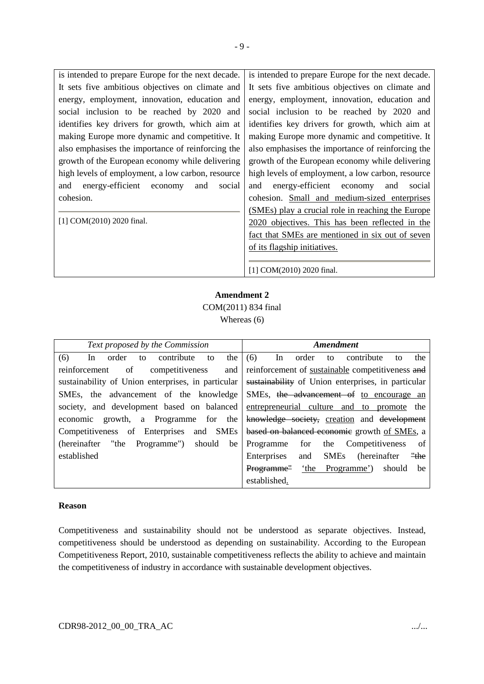| is intended to prepare Europe for the next decade. | is intended to prepare Europe for the next decade. |
|----------------------------------------------------|----------------------------------------------------|
| It sets five ambitious objectives on climate and   | It sets five ambitious objectives on climate and   |
| energy, employment, innovation, education and      | energy, employment, innovation, education and      |
| social inclusion to be reached by 2020 and         | social inclusion to be reached by 2020 and         |
| identifies key drivers for growth, which aim at    | identifies key drivers for growth, which aim at    |
| making Europe more dynamic and competitive. It     | making Europe more dynamic and competitive. It     |
| also emphasises the importance of reinforcing the  | also emphasises the importance of reinforcing the  |
| growth of the European economy while delivering    | growth of the European economy while delivering    |
| high levels of employment, a low carbon, resource  | high levels of employment, a low carbon, resource  |
| energy-efficient economy<br>and<br>and<br>social   | energy-efficient economy<br>social<br>and<br>and   |
| cohesion.                                          | cohesion. Small and medium-sized enterprises       |
|                                                    | (SMEs) play a crucial role in reaching the Europe  |
| [1] COM(2010) 2020 final.                          | 2020 objectives. This has been reflected in the    |
|                                                    | fact that SMEs are mentioned in six out of seven   |
|                                                    | of its flagship initiatives.                       |

[1] COM(2010) 2020 final.

### **Amendment 2** COM(2011) 834 final Whereas (6)

| Text proposed by the Commission                     | Amendment                                                  |
|-----------------------------------------------------|------------------------------------------------------------|
| (6)<br>contribute<br>the<br>order<br>In<br>to<br>to | (6)<br>In<br>order<br>the<br>contribute<br>to<br>to        |
| of<br>competitiveness<br>reinforcement              | and reinforcement of sustainable competitiveness and       |
| sustainability of Union enterprises, in particular  | sustainability of Union enterprises, in particular         |
| SMEs, the advancement of the knowledge              | SMEs, the advancement of to encourage an                   |
| society, and development based on balanced          | entrepreneurial culture and to promote the                 |
| growth, a Programme for the<br>economic             | knowledge society, creation and development                |
| Competitiveness of Enterprises and SMEs             | based on balanced economic growth of SMEs, a               |
| should<br>(hereinafter "the Programme")<br>be       | for<br>Competitiveness<br>the<br>Programme<br>of           |
| established                                         | <b>SMEs</b><br>"the<br>Enterprises<br>and<br>(hereinafter) |
|                                                     | 'the Programme')<br>Programme"<br>should<br>be             |
|                                                     | established.                                               |

### **Reason**

Competitiveness and sustainability should not be understood as separate objectives. Instead, competitiveness should be understood as depending on sustainability. According to the European Competitiveness Report, 2010, sustainable competitiveness reflects the ability to achieve and maintain the competitiveness of industry in accordance with sustainable development objectives.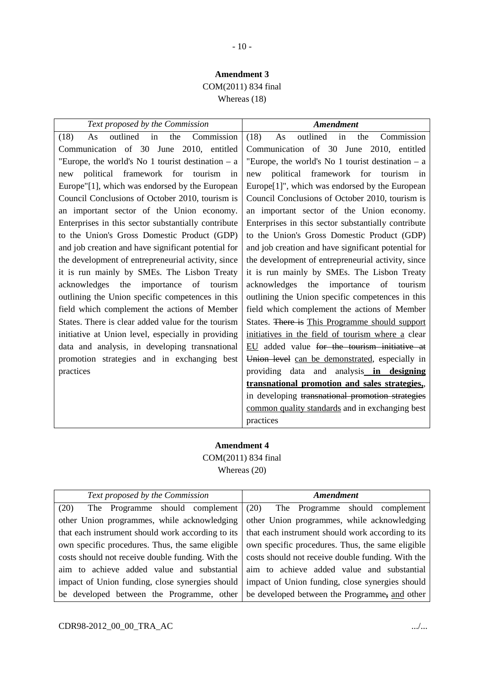### **Amendment 3** COM(2011) 834 final

Whereas (18)

| Text proposed by the Commission                     | <b>Amendment</b>                                            |
|-----------------------------------------------------|-------------------------------------------------------------|
| outlined<br>Commission<br>in<br>the<br>(18)<br>As   | outlined<br>in<br>Commission<br>(18)<br>the<br>As           |
| Communication of 30 June 2010, entitled             | Communication of 30 June 2010, entitled                     |
| "Europe, the world's No 1 tourist destination $- a$ | "Europe, the world's No 1 tourist destination $- a$         |
| political framework for tourism in<br>new           | political framework for<br>tourism in<br>new                |
| Europe"[1], which was endorsed by the European      | Europe <sup>[1]"</sup> , which was endorsed by the European |
| Council Conclusions of October 2010, tourism is     | Council Conclusions of October 2010, tourism is             |
| an important sector of the Union economy.           | an important sector of the Union economy.                   |
| Enterprises in this sector substantially contribute | Enterprises in this sector substantially contribute         |
| to the Union's Gross Domestic Product (GDP)         | to the Union's Gross Domestic Product (GDP)                 |
| and job creation and have significant potential for | and job creation and have significant potential for         |
| the development of entrepreneurial activity, since  | the development of entrepreneurial activity, since          |
| it is run mainly by SMEs. The Lisbon Treaty         | it is run mainly by SMEs. The Lisbon Treaty                 |
| acknowledges<br>the<br>importance<br>of<br>tourism  | importance<br>acknowledges<br>the<br>of<br>tourism          |
| outlining the Union specific competences in this    | outlining the Union specific competences in this            |
| field which complement the actions of Member        | field which complement the actions of Member                |
| States. There is clear added value for the tourism  | States. There is This Programme should support              |
| initiative at Union level, especially in providing  | initiatives in the field of tourism where a clear           |
| data and analysis, in developing transnational      | EU added value for the tourism initiative at                |
| promotion strategies and in exchanging best         | Union level can be demonstrated, especially in              |
| practices                                           | providing data and analysis in designing                    |
|                                                     | transnational promotion and sales strategies,               |
|                                                     | in developing transnational promotion strategies            |
|                                                     | common quality standards and in exchanging best             |
|                                                     | practices                                                   |

### **Amendment 4** COM(2011) 834 final Whereas (20)

| Text proposed by the Commission                   | <b>Amendment</b>                                  |
|---------------------------------------------------|---------------------------------------------------|
| The Programme should complement<br>(20)           | (20)<br>The Programme should complement           |
| other Union programmes, while acknowledging       | other Union programmes, while acknowledging       |
| that each instrument should work according to its | that each instrument should work according to its |
| own specific procedures. Thus, the same eligible  | own specific procedures. Thus, the same eligible  |
| costs should not receive double funding. With the | costs should not receive double funding. With the |
| aim to achieve added value and substantial        | aim to achieve added value and substantial        |
| impact of Union funding, close synergies should   | impact of Union funding, close synergies should   |
| be developed between the Programme, other         | be developed between the Programme, and other     |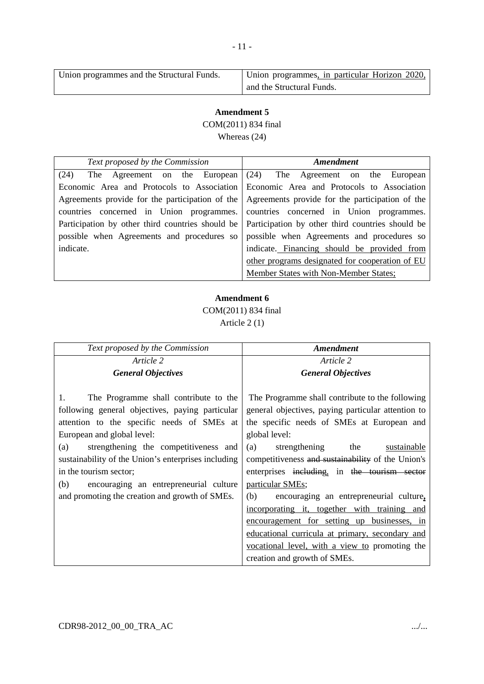| Union programmes and the Structural Funds. | Union programmes, in particular Horizon 2020, |
|--------------------------------------------|-----------------------------------------------|
|                                            | and the Structural Funds.                     |

COM(2011) 834 final

Whereas (24)

| Text proposed by the Commission              | Amendment                                                                                           |
|----------------------------------------------|-----------------------------------------------------------------------------------------------------|
| The Agreement on the European $(24)$<br>(24) | The Agreement on the European                                                                       |
|                                              | Economic Area and Protocols to Association Economic Area and Protocols to Association               |
|                                              | Agreements provide for the participation of the Agreements provide for the participation of the     |
|                                              | countries concerned in Union programmes. countries concerned in Union programmes.                   |
|                                              | Participation by other third countries should be   Participation by other third countries should be |
|                                              | possible when Agreements and procedures so possible when Agreements and procedures so               |
| indicate.                                    | indicate. Financing should be provided from                                                         |
|                                              | other programs designated for cooperation of EU                                                     |
|                                              | Member States with Non-Member States;                                                               |

### **Amendment 6**

COM(2011) 834 final

Article 2 (1)

| <b>Amendment</b>                                                                                                                                                                                                                                                                                                                                                                                                                                                                                                                                                                                  |
|---------------------------------------------------------------------------------------------------------------------------------------------------------------------------------------------------------------------------------------------------------------------------------------------------------------------------------------------------------------------------------------------------------------------------------------------------------------------------------------------------------------------------------------------------------------------------------------------------|
| Article 2                                                                                                                                                                                                                                                                                                                                                                                                                                                                                                                                                                                         |
| <b>General Objectives</b>                                                                                                                                                                                                                                                                                                                                                                                                                                                                                                                                                                         |
| The Programme shall contribute to the following<br>general objectives, paying particular attention to<br>the specific needs of SMEs at European and<br>global level:<br>strengthening<br>the<br>sustainable<br>(a)<br>competitiveness and sustainability of the Union's<br>enterprises including, in the tourism sector<br>particular SMEs;<br>(b)<br>encouraging an entrepreneurial culture,<br>incorporating it, together with training and<br>encouragement for setting up businesses, in<br>educational curricula at primary, secondary and<br>vocational level, with a view to promoting the |
| creation and growth of SMEs.                                                                                                                                                                                                                                                                                                                                                                                                                                                                                                                                                                      |
|                                                                                                                                                                                                                                                                                                                                                                                                                                                                                                                                                                                                   |

- 11 -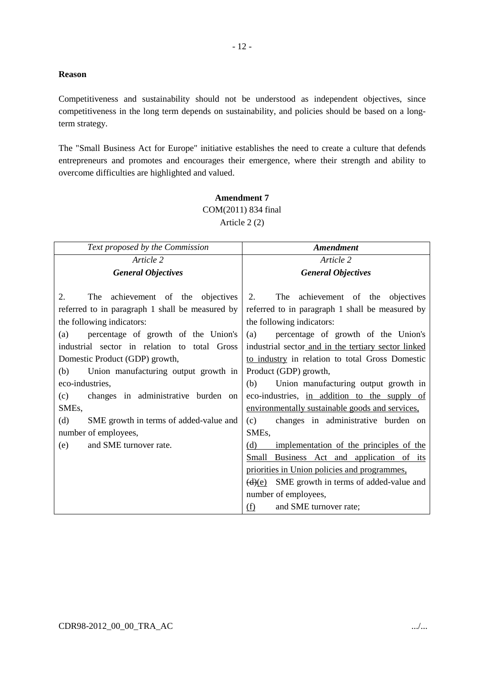### **Reason**

Competitiveness and sustainability should not be understood as independent objectives, since competitiveness in the long term depends on sustainability, and policies should be based on a longterm strategy.

- 12 -

The "Small Business Act for Europe" initiative establishes the need to create a culture that defends entrepreneurs and promotes and encourages their emergence, where their strength and ability to overcome difficulties are highlighted and valued.

### **Amendment 7** COM(2011) 834 final Article 2 (2)

| Text proposed by the Commission                 | <b>Amendment</b>                                     |
|-------------------------------------------------|------------------------------------------------------|
| Article 2                                       | Article 2                                            |
| <b>General Objectives</b>                       | <b>General Objectives</b>                            |
|                                                 |                                                      |
| 2.<br>The achievement of the objectives         | 2.<br>The achievement of the objectives              |
| referred to in paragraph 1 shall be measured by | referred to in paragraph 1 shall be measured by      |
| the following indicators:                       | the following indicators:                            |
| percentage of growth of the Union's<br>(a)      | percentage of growth of the Union's<br>(a)           |
| industrial sector in relation to total Gross    | industrial sector and in the tertiary sector linked  |
| Domestic Product (GDP) growth,                  | to industry in relation to total Gross Domestic      |
| (b)<br>Union manufacturing output growth in     | Product (GDP) growth,                                |
| eco-industries,                                 | (b)<br>Union manufacturing output growth in          |
| changes in administrative burden on<br>(c)      | eco-industries, in addition to the supply of         |
| SME <sub>s</sub> ,                              | environmentally sustainable goods and services,      |
| (d)<br>SME growth in terms of added-value and   | changes in administrative burden on<br>(c)           |
| number of employees,                            | SME <sub>s</sub> ,                                   |
| and SME turnover rate.<br>(e)                   | implementation of the principles of the<br>(d)       |
|                                                 | Small Business Act and application of its            |
|                                                 | priorities in Union policies and programmes,         |
|                                                 | $\frac{d}{e}$ SME growth in terms of added-value and |
|                                                 | number of employees,                                 |
|                                                 | and SME turnover rate;<br>(f)                        |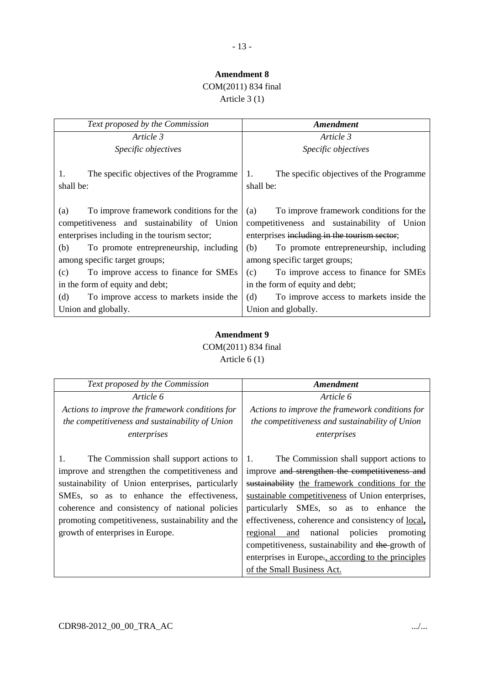- 13 -

# COM(2011) 834 final

Article 3 (1)

| Text proposed by the Commission                                                                                                                                                                | <b>Amendment</b>                                                                                                                                                                               |
|------------------------------------------------------------------------------------------------------------------------------------------------------------------------------------------------|------------------------------------------------------------------------------------------------------------------------------------------------------------------------------------------------|
| Article 3                                                                                                                                                                                      | Article 3                                                                                                                                                                                      |
| Specific objectives                                                                                                                                                                            | Specific objectives                                                                                                                                                                            |
| 1.<br>The specific objectives of the Programme<br>shall be:                                                                                                                                    | The specific objectives of the Programme<br>1.<br>shall be:                                                                                                                                    |
| To improve framework conditions for the<br>(a)<br>competitiveness and sustainability of Union<br>enterprises including in the tourism sector;<br>(b)<br>To promote entrepreneurship, including | To improve framework conditions for the<br>(a)<br>competitiveness and sustainability of Union<br>enterprises including in the tourism sector;<br>(b)<br>To promote entrepreneurship, including |
| among specific target groups;                                                                                                                                                                  | among specific target groups;                                                                                                                                                                  |
| To improve access to finance for SMEs<br>(c)                                                                                                                                                   | To improve access to finance for SMEs<br>(c)                                                                                                                                                   |
| in the form of equity and debt;                                                                                                                                                                | in the form of equity and debt;                                                                                                                                                                |
| (d)<br>To improve access to markets inside the                                                                                                                                                 | To improve access to markets inside the<br>(d)                                                                                                                                                 |
| Union and globally.                                                                                                                                                                            | Union and globally.                                                                                                                                                                            |

### **Amendment 9** COM(2011) 834 final Article 6 (1)

| Text proposed by the Commission                           | Amendment                                            |
|-----------------------------------------------------------|------------------------------------------------------|
| Article 6                                                 | Article 6                                            |
| Actions to improve the framework conditions for           | Actions to improve the framework conditions for      |
| the competitiveness and sustainability of Union           | the competitiveness and sustainability of Union      |
| enterprises                                               | enterprises                                          |
|                                                           |                                                      |
| $\mathbf{1}$ .<br>The Commission shall support actions to | The Commission shall support actions to<br>1.        |
| improve and strengthen the competitiveness and            | improve and strengthen the competitiveness and       |
| sustainability of Union enterprises, particularly         | sustainability the framework conditions for the      |
| SMEs, so as to enhance the effectiveness,                 | sustainable competitiveness of Union enterprises,    |
| coherence and consistency of national policies            | particularly SMEs, so as to enhance the              |
| promoting competitiveness, sustainability and the         | effectiveness, coherence and consistency of local,   |
| growth of enterprises in Europe.                          | national<br>policies<br>and<br>regional<br>promoting |
|                                                           | competitiveness, sustainability and the growth of    |
|                                                           | enterprises in Europe., according to the principles  |
|                                                           | of the Small Business Act.                           |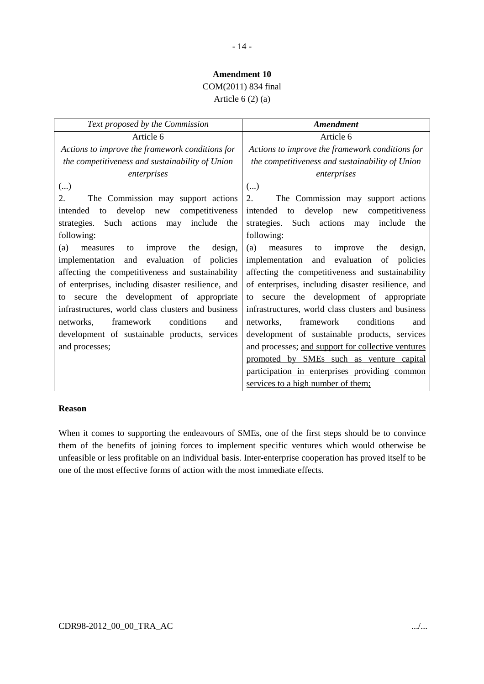### - 14 -

### **Amendment 10**

# COM(2011) 834 final

Article  $6(2)(a)$ 

| Text proposed by the Commission                    | <b>Amendment</b>                                   |
|----------------------------------------------------|----------------------------------------------------|
| Article 6                                          | Article 6                                          |
| Actions to improve the framework conditions for    | Actions to improve the framework conditions for    |
| the competitiveness and sustainability of Union    | the competitiveness and sustainability of Union    |
| enterprises                                        | enterprises                                        |
| $(\ldots)$                                         | ()                                                 |
| The Commission may support actions<br>2.           | 2.<br>The Commission may support actions           |
| develop new<br>competitiveness<br>intended<br>to   | intended<br>to develop new<br>competitiveness      |
| strategies. Such actions may<br>include<br>the     | strategies. Such actions may<br>include<br>the     |
| following:                                         | following:                                         |
| (a)<br>improve<br>the<br>design,<br>measures<br>to | (a)<br>improve<br>design,<br>measures<br>the<br>to |
| and evaluation of<br>implementation<br>policies    | implementation and<br>evaluation of<br>policies    |
| affecting the competitiveness and sustainability   | affecting the competitiveness and sustainability   |
| of enterprises, including disaster resilience, and | of enterprises, including disaster resilience, and |
| secure the development of appropriate<br>to        | secure the development of appropriate<br>to        |
| infrastructures, world class clusters and business | infrastructures, world class clusters and business |
| conditions<br>framework<br>networks,<br>and        | conditions<br>framework<br>networks.<br>and        |
| development of sustainable products, services      | development of sustainable products, services      |
| and processes;                                     | and processes; and support for collective ventures |
|                                                    | promoted by SMEs such as venture capital           |
|                                                    | participation in enterprises providing common      |
|                                                    | services to a high number of them;                 |

#### **Reason**

When it comes to supporting the endeavours of SMEs, one of the first steps should be to convince them of the benefits of joining forces to implement specific ventures which would otherwise be unfeasible or less profitable on an individual basis. Inter-enterprise cooperation has proved itself to be one of the most effective forms of action with the most immediate effects.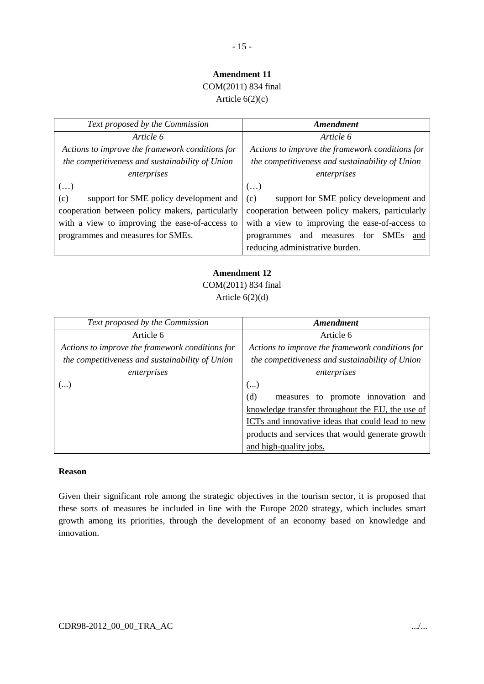# COM(2011) 834 final

Article  $6(2)(c)$ 

| Text proposed by the Commission                 | Amendment                                       |
|-------------------------------------------------|-------------------------------------------------|
| Article 6                                       | Article 6                                       |
| Actions to improve the framework conditions for | Actions to improve the framework conditions for |
| the competitiveness and sustainability of Union | the competitiveness and sustainability of Union |
| enterprises                                     | enterprises                                     |
| $\left( \ldots \right)$                         | ()                                              |
| support for SME policy development and<br>(c)   | support for SME policy development and<br>(c)   |
| cooperation between policy makers, particularly | cooperation between policy makers, particularly |
| with a view to improving the ease-of-access to  | with a view to improving the ease-of-access to  |
| programmes and measures for SMEs.               | and measures for<br>SMEs<br>programmes<br>and   |
|                                                 | reducing administrative burden.                 |

# **Amendment 12**

COM(2011) 834 final Article  $6(2)(d)$ 

| Text proposed by the Commission                 | Amendment                                             |
|-------------------------------------------------|-------------------------------------------------------|
| Article 6                                       | Article 6                                             |
| Actions to improve the framework conditions for | Actions to improve the framework conditions for       |
| the competitiveness and sustainability of Union | the competitiveness and sustainability of Union       |
| enterprises                                     | enterprises                                           |
| ()                                              | ()                                                    |
|                                                 | (d)<br>innovation<br>promote<br>to<br>measures<br>and |
|                                                 | knowledge transfer throughout the EU, the use of      |
|                                                 | ICTs and innovative ideas that could lead to new      |
|                                                 | products and services that would generate growth      |
|                                                 | and high-quality jobs.                                |

### **Reason**

Given their significant role among the strategic objectives in the tourism sector, it is proposed that these sorts of measures be included in line with the Europe 2020 strategy, which includes smart growth among its priorities, through the development of an economy based on knowledge and innovation.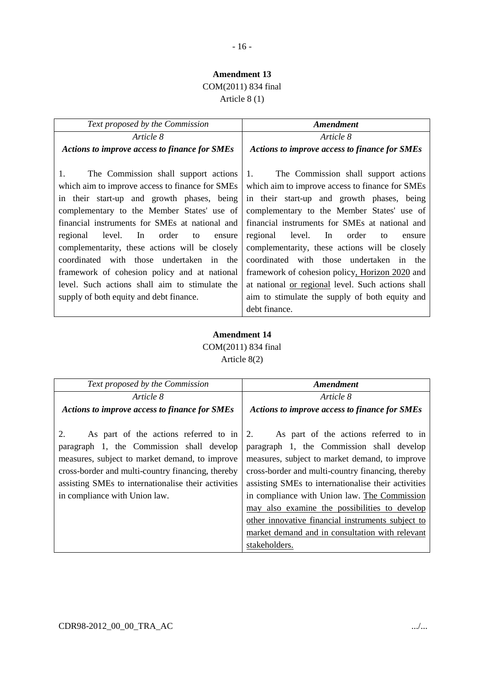## COM(2011) 834 final

Article 8 (1)

| Text proposed by the Commission                                                                                                                                                                                                                                                                                                                                                                                                                                                                        | Amendment                                                                                                                                                                                                                                                                                                                                                                                                                                                                                                       |  |
|--------------------------------------------------------------------------------------------------------------------------------------------------------------------------------------------------------------------------------------------------------------------------------------------------------------------------------------------------------------------------------------------------------------------------------------------------------------------------------------------------------|-----------------------------------------------------------------------------------------------------------------------------------------------------------------------------------------------------------------------------------------------------------------------------------------------------------------------------------------------------------------------------------------------------------------------------------------------------------------------------------------------------------------|--|
| Article 8                                                                                                                                                                                                                                                                                                                                                                                                                                                                                              | Article 8                                                                                                                                                                                                                                                                                                                                                                                                                                                                                                       |  |
| <b>Actions to improve access to finance for SMEs</b>                                                                                                                                                                                                                                                                                                                                                                                                                                                   | <b>Actions to improve access to finance for SMEs</b>                                                                                                                                                                                                                                                                                                                                                                                                                                                            |  |
| $1_{\cdot}$<br>The Commission shall support actions<br>which aim to improve access to finance for SMEs<br>in their start-up and growth phases, being<br>complementary to the Member States' use of<br>financial instruments for SMEs at national and<br>regional<br>In order<br>level.<br>to<br>ensure<br>complementarity, these actions will be closely<br>coordinated with those undertaken in the<br>framework of cohesion policy and at national<br>level. Such actions shall aim to stimulate the | The Commission shall support actions<br>$1_{\cdot}$<br>which aim to improve access to finance for SMEs<br>in their start-up and growth phases, being<br>complementary to the Member States' use of<br>financial instruments for SMEs at national and<br>regional level. In<br>order<br>to<br>ensure<br>complementarity, these actions will be closely<br>coordinated with those undertaken in the<br>framework of cohesion policy, Horizon 2020 and<br>at national <u>or regional</u> level. Such actions shall |  |
| supply of both equity and debt finance.                                                                                                                                                                                                                                                                                                                                                                                                                                                                | aim to stimulate the supply of both equity and                                                                                                                                                                                                                                                                                                                                                                                                                                                                  |  |
|                                                                                                                                                                                                                                                                                                                                                                                                                                                                                                        | debt finance.                                                                                                                                                                                                                                                                                                                                                                                                                                                                                                   |  |

### **Amendment 14** COM(2011) 834 final Article 8(2)

| Text proposed by the Commission                      | Amendment                                            |
|------------------------------------------------------|------------------------------------------------------|
| Article 8                                            | Article 8                                            |
| <b>Actions to improve access to finance for SMEs</b> | <b>Actions to improve access to finance for SMEs</b> |
|                                                      |                                                      |
| 2.<br>As part of the actions referred to in          | 2.<br>As part of the actions referred to in          |
| paragraph 1, the Commission shall develop            | paragraph 1, the Commission shall develop            |
| measures, subject to market demand, to improve       | measures, subject to market demand, to improve       |
| cross-border and multi-country financing, thereby    | cross-border and multi-country financing, thereby    |
| assisting SMEs to internationalise their activities  | assisting SMEs to internationalise their activities  |
| in compliance with Union law.                        | in compliance with Union law. The Commission         |
|                                                      | may also examine the possibilities to develop        |
|                                                      | other innovative financial instruments subject to    |
|                                                      | market demand and in consultation with relevant      |
|                                                      | stakeholders.                                        |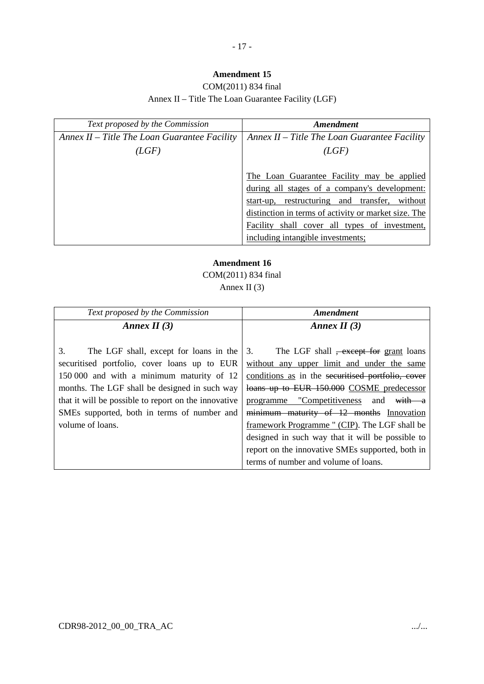### COM(2011) 834 final Annex II – Title The Loan Guarantee Facility (LGF)

| Text proposed by the Commission                | Amendment                                            |
|------------------------------------------------|------------------------------------------------------|
| Annex $II$ – Title The Loan Guarantee Facility | Annex $II$ – Title The Loan Guarantee Facility       |
| (LGF)                                          | (LGF)                                                |
|                                                |                                                      |
|                                                | The Loan Guarantee Facility may be applied           |
|                                                | during all stages of a company's development:        |
|                                                | start-up, restructuring and transfer, without        |
|                                                | distinction in terms of activity or market size. The |
|                                                | Facility shall cover all types of investment,        |
|                                                | including intangible investments;                    |

# **Amendment 16**

COM(2011) 834 final

## Annex II (3)

| Text proposed by the Commission                      | Amendment                                               |
|------------------------------------------------------|---------------------------------------------------------|
| Annex II $(3)$                                       | Annex II $(3)$                                          |
|                                                      |                                                         |
| 3.<br>The LGF shall, except for loans in the         | The LGF shall <del>, except for</del> grant loans<br>3. |
| securitised portfolio, cover loans up to EUR         | without any upper limit and under the same              |
| 150 000 and with a minimum maturity of 12            | conditions as in the securitised portfolio, cover       |
| months. The LGF shall be designed in such way        | loans up to EUR 150.000 COSME predecessor               |
| that it will be possible to report on the innovative | programme "Competitiveness and<br>with a                |
| SMEs supported, both in terms of number and          | minimum maturity of 12 months Innovation                |
| volume of loans.                                     | framework Programme " (CIP). The LGF shall be           |
|                                                      | designed in such way that it will be possible to        |
|                                                      | report on the innovative SMEs supported, both in        |
|                                                      | terms of number and volume of loans.                    |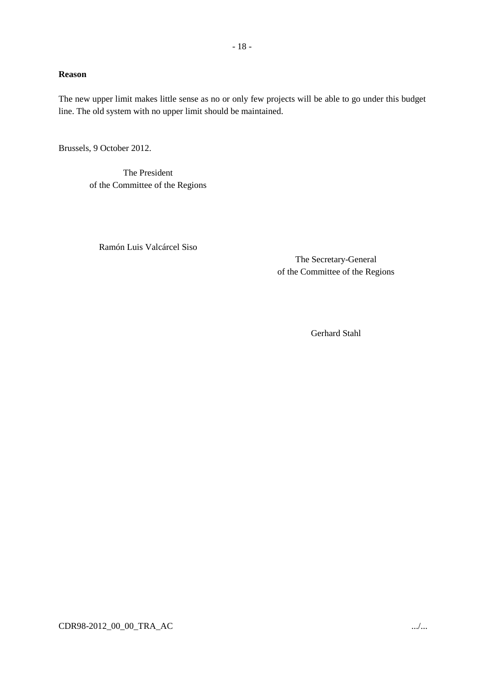#### **Reason**

The new upper limit makes little sense as no or only few projects will be able to go under this budget line. The old system with no upper limit should be maintained.

Brussels, 9 October 2012.

The President of the Committee of the Regions

Ramón Luis Valcárcel Siso

The Secretary-General of the Committee of the Regions

Gerhard Stahl